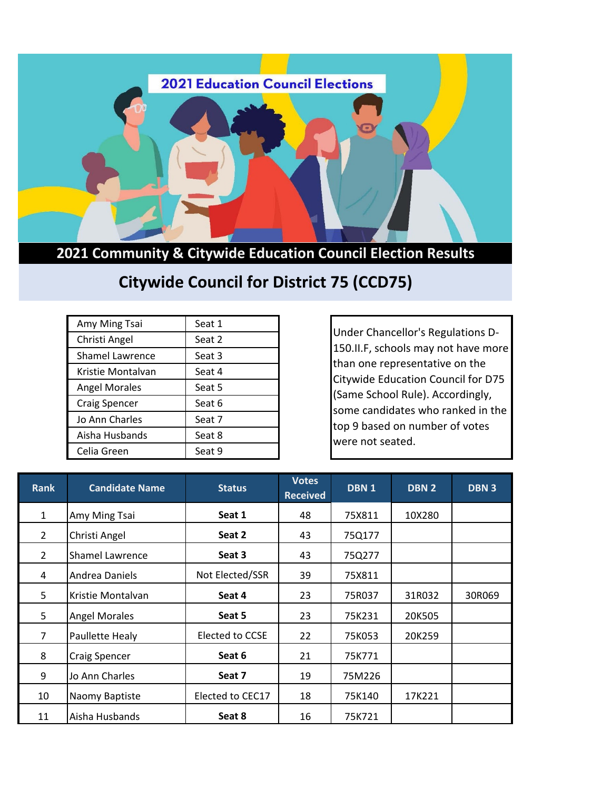

**2021 Community & Citywide Education Council Election Results**

## **Citywide Council for District 75 (CCD75)**

| Amy Ming Tsai          | Seat 1 |
|------------------------|--------|
| Christi Angel          | Seat 2 |
| <b>Shamel Lawrence</b> | Seat 3 |
| Kristie Montalvan      | Seat 4 |
| <b>Angel Morales</b>   | Seat 5 |
| <b>Craig Spencer</b>   | Seat 6 |
| Jo Ann Charles         | Seat 7 |
| Aisha Husbands         | Seat 8 |
| Celia Green            | Seat 9 |

Under Chancellor's Regulations D-150.II.F, schools may not have more than one representative on the Citywide Education Council for D75 (Same School Rule). Accordingly, some candidates who ranked in the top 9 based on number of votes were not seated.

| <b>Rank</b>    | <b>Candidate Name</b> | <b>Status</b>    | <b>Votes</b><br><b>Received</b> | DBN <sub>1</sub> | DBN <sub>2</sub> | <b>DBN3</b> |
|----------------|-----------------------|------------------|---------------------------------|------------------|------------------|-------------|
| $\mathbf{1}$   | Amy Ming Tsai         | Seat 1           | 48                              | 75X811           | 10X280           |             |
| $\overline{2}$ | Christi Angel         | Seat 2           | 43                              | 75Q177           |                  |             |
| $\overline{2}$ | Shamel Lawrence       | Seat 3           | 43                              | 75Q277           |                  |             |
| 4              | Andrea Daniels        | Not Elected/SSR  | 39                              | 75X811           |                  |             |
| 5              | Kristie Montalvan     | Seat 4           | 23                              | 75R037           | 31R032           | 30R069      |
| 5              | <b>Angel Morales</b>  | Seat 5           | 23                              | 75K231           | 20K505           |             |
| 7              | Paullette Healy       | Elected to CCSE  | 22                              | 75K053           | 20K259           |             |
| 8              | <b>Craig Spencer</b>  | Seat 6           | 21                              | 75K771           |                  |             |
| 9              | Jo Ann Charles        | Seat 7           | 19                              | 75M226           |                  |             |
| 10             | Naomy Baptiste        | Elected to CEC17 | 18                              | 75K140           | 17K221           |             |
| 11             | Aisha Husbands        | Seat 8           | 16                              | 75K721           |                  |             |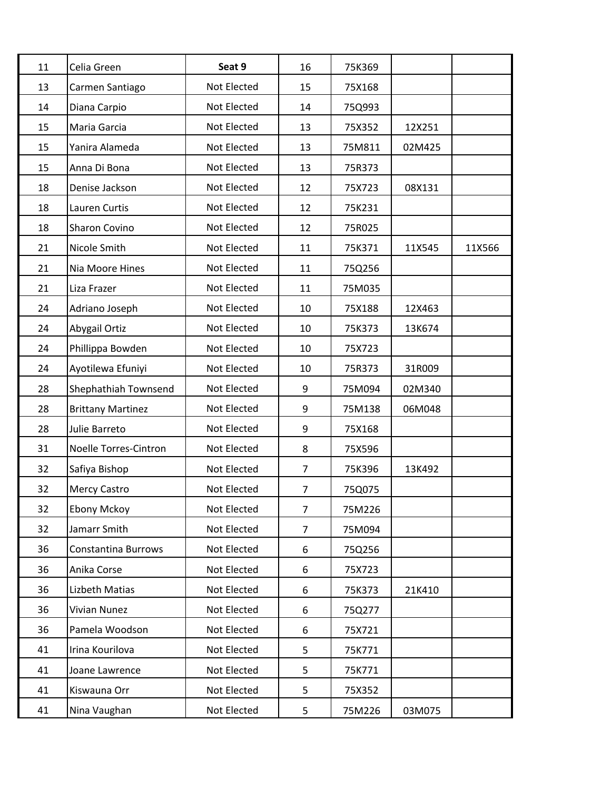| 11 | Celia Green                | Seat 9      | 16             | 75K369 |        |        |
|----|----------------------------|-------------|----------------|--------|--------|--------|
| 13 | Carmen Santiago            | Not Elected | 15             | 75X168 |        |        |
| 14 | Diana Carpio               | Not Elected | 14             | 75Q993 |        |        |
| 15 | Maria Garcia               | Not Elected | 13             | 75X352 | 12X251 |        |
| 15 | Yanira Alameda             | Not Elected | 13             | 75M811 | 02M425 |        |
| 15 | Anna Di Bona               | Not Elected | 13             | 75R373 |        |        |
| 18 | Denise Jackson             | Not Elected | 12             | 75X723 | 08X131 |        |
| 18 | Lauren Curtis              | Not Elected | 12             | 75K231 |        |        |
| 18 | Sharon Covino              | Not Elected | 12             | 75R025 |        |        |
| 21 | Nicole Smith               | Not Elected | 11             | 75K371 | 11X545 | 11X566 |
| 21 | Nia Moore Hines            | Not Elected | 11             | 75Q256 |        |        |
| 21 | Liza Frazer                | Not Elected | 11             | 75M035 |        |        |
| 24 | Adriano Joseph             | Not Elected | 10             | 75X188 | 12X463 |        |
| 24 | Abygail Ortiz              | Not Elected | 10             | 75K373 | 13K674 |        |
| 24 | Phillippa Bowden           | Not Elected | 10             | 75X723 |        |        |
| 24 | Ayotilewa Efuniyi          | Not Elected | 10             | 75R373 | 31R009 |        |
| 28 | Shephathiah Townsend       | Not Elected | 9              | 75M094 | 02M340 |        |
| 28 | <b>Brittany Martinez</b>   | Not Elected | 9              | 75M138 | 06M048 |        |
| 28 | Julie Barreto              | Not Elected | 9              | 75X168 |        |        |
| 31 | Noelle Torres-Cintron      | Not Elected | 8              | 75X596 |        |        |
| 32 | Safiya Bishop              | Not Elected | 7              | 75K396 | 13K492 |        |
| 32 | <b>Mercy Castro</b>        | Not Elected | 7              | 75Q075 |        |        |
| 32 | <b>Ebony Mckoy</b>         | Not Elected | $\overline{7}$ | 75M226 |        |        |
| 32 | Jamarr Smith               | Not Elected | 7              | 75M094 |        |        |
| 36 | <b>Constantina Burrows</b> | Not Elected | 6              | 75Q256 |        |        |
| 36 | Anika Corse                | Not Elected | 6              | 75X723 |        |        |
| 36 | Lizbeth Matias             | Not Elected | 6              | 75K373 | 21K410 |        |
| 36 | <b>Vivian Nunez</b>        | Not Elected | 6              | 75Q277 |        |        |
| 36 | Pamela Woodson             | Not Elected | 6              | 75X721 |        |        |
| 41 | Irina Kourilova            | Not Elected | 5              | 75K771 |        |        |
| 41 | Joane Lawrence             | Not Elected | 5              | 75K771 |        |        |
| 41 | Kiswauna Orr               | Not Elected | 5              | 75X352 |        |        |
| 41 | Nina Vaughan               | Not Elected | 5              | 75M226 | 03M075 |        |